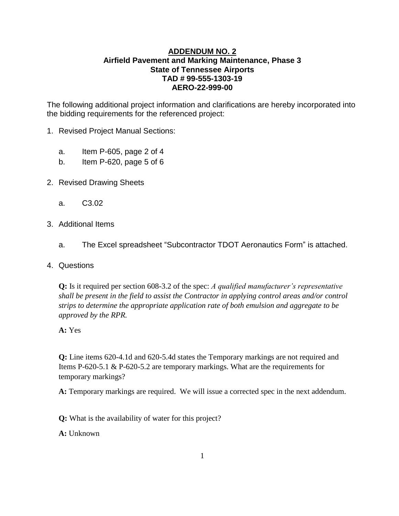### **ADDENDUM NO. 2 Airfield Pavement and Marking Maintenance, Phase 3 State of Tennessee Airports TAD # 99-555-1303-19 AERO-22-999-00**

The following additional project information and clarifications are hereby incorporated into the bidding requirements for the referenced project:

- 1. Revised Project Manual Sections:
	- a. Item P-605, page 2 of 4
	- b. Item P-620, page 5 of 6
- 2. Revised Drawing Sheets
	- a. C3.02
- 3. Additional Items
	- a. The Excel spreadsheet "Subcontractor TDOT Aeronautics Form" is attached.
- 4. Questions

**Q:** Is it required per section 608-3.2 of the spec: *A qualified manufacturer's representative shall be present in the field to assist the Contractor in applying control areas and/or control strips to determine the appropriate application rate of both emulsion and aggregate to be approved by the RPR.*

#### **A:** Yes

**Q:** Line items 620-4.1d and 620-5.4d states the Temporary markings are not required and Items P-620-5.1 & P-620-5.2 are temporary markings. What are the requirements for temporary markings?

**A:** Temporary markings are required. We will issue a corrected spec in the next addendum.

**Q:** What is the availability of water for this project?

**A:** Unknown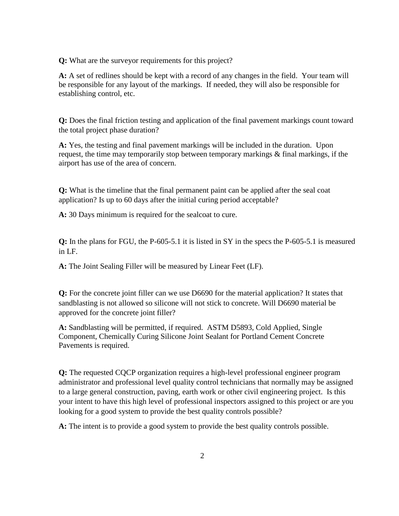**Q:** What are the surveyor requirements for this project?

**A:** A set of redlines should be kept with a record of any changes in the field. Your team will be responsible for any layout of the markings. If needed, they will also be responsible for establishing control, etc.

**Q:** Does the final friction testing and application of the final pavement markings count toward the total project phase duration?

**A:** Yes, the testing and final pavement markings will be included in the duration. Upon request, the time may temporarily stop between temporary markings & final markings, if the airport has use of the area of concern.

**Q:** What is the timeline that the final permanent paint can be applied after the seal coat application? Is up to 60 days after the initial curing period acceptable?

**A:** 30 Days minimum is required for the sealcoat to cure.

**Q:** In the plans for FGU, the P-605-5.1 it is listed in SY in the specs the P-605-5.1 is measured in LF.

**A:** The Joint Sealing Filler will be measured by Linear Feet (LF).

**Q:** For the concrete joint filler can we use D6690 for the material application? It states that sandblasting is not allowed so silicone will not stick to concrete. Will D6690 material be approved for the concrete joint filler?

**A:** Sandblasting will be permitted, if required. ASTM D5893, Cold Applied, Single Component, Chemically Curing Silicone Joint Sealant for Portland Cement Concrete Pavements is required.

**Q:** The requested CQCP organization requires a high-level professional engineer program administrator and professional level quality control technicians that normally may be assigned to a large general construction, paving, earth work or other civil engineering project. Is this your intent to have this high level of professional inspectors assigned to this project or are you looking for a good system to provide the best quality controls possible?

**A:** The intent is to provide a good system to provide the best quality controls possible.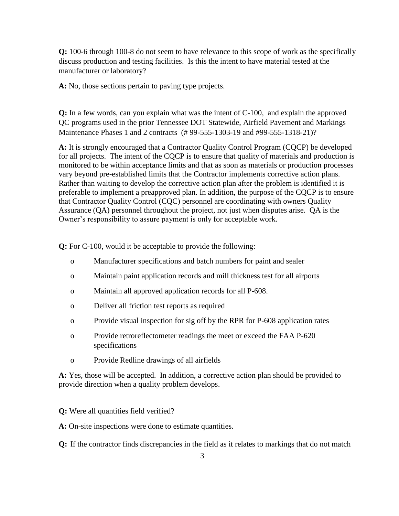**Q:** 100-6 through 100-8 do not seem to have relevance to this scope of work as the specifically discuss production and testing facilities. Is this the intent to have material tested at the manufacturer or laboratory?

**A:** No, those sections pertain to paving type projects.

**Q:** In a few words, can you explain what was the intent of C-100, and explain the approved QC programs used in the prior Tennessee DOT Statewide, Airfield Pavement and Markings Maintenance Phases 1 and 2 contracts (# 99-555-1303-19 and #99-555-1318-21)?

**A:** It is strongly encouraged that a Contractor Quality Control Program (CQCP) be developed for all projects. The intent of the CQCP is to ensure that quality of materials and production is monitored to be within acceptance limits and that as soon as materials or production processes vary beyond pre-established limits that the Contractor implements corrective action plans. Rather than waiting to develop the corrective action plan after the problem is identified it is preferable to implement a preapproved plan. In addition, the purpose of the CQCP is to ensure that Contractor Quality Control (CQC) personnel are coordinating with owners Quality Assurance (QA) personnel throughout the project, not just when disputes arise. QA is the Owner's responsibility to assure payment is only for acceptable work.

**Q:** For C-100, would it be acceptable to provide the following:

- o Manufacturer specifications and batch numbers for paint and sealer
- o Maintain paint application records and mill thickness test for all airports
- o Maintain all approved application records for all P-608.
- o Deliver all friction test reports as required
- o Provide visual inspection for sig off by the RPR for P-608 application rates
- o Provide retroreflectometer readings the meet or exceed the FAA P-620 specifications
- o Provide Redline drawings of all airfields

**A:** Yes, those will be accepted. In addition, a corrective action plan should be provided to provide direction when a quality problem develops.

**Q:** Were all quantities field verified?

**A:** On-site inspections were done to estimate quantities.

**Q:** If the contractor finds discrepancies in the field as it relates to markings that do not match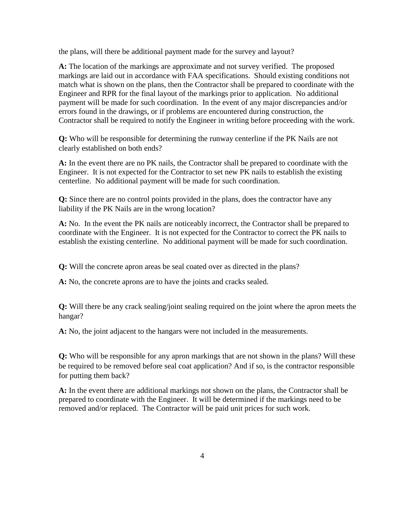the plans, will there be additional payment made for the survey and layout?

**A:** The location of the markings are approximate and not survey verified. The proposed markings are laid out in accordance with FAA specifications. Should existing conditions not match what is shown on the plans, then the Contractor shall be prepared to coordinate with the Engineer and RPR for the final layout of the markings prior to application. No additional payment will be made for such coordination. In the event of any major discrepancies and/or errors found in the drawings, or if problems are encountered during construction, the Contractor shall be required to notify the Engineer in writing before proceeding with the work.

**Q:** Who will be responsible for determining the runway centerline if the PK Nails are not clearly established on both ends?

**A:** In the event there are no PK nails, the Contractor shall be prepared to coordinate with the Engineer. It is not expected for the Contractor to set new PK nails to establish the existing centerline. No additional payment will be made for such coordination.

**Q:** Since there are no control points provided in the plans, does the contractor have any liability if the PK Nails are in the wrong location?

**A:** No. In the event the PK nails are noticeably incorrect, the Contractor shall be prepared to coordinate with the Engineer. It is not expected for the Contractor to correct the PK nails to establish the existing centerline. No additional payment will be made for such coordination.

**Q:** Will the concrete apron areas be seal coated over as directed in the plans?

**A:** No, the concrete aprons are to have the joints and cracks sealed.

**Q:** Will there be any crack sealing/joint sealing required on the joint where the apron meets the hangar?

**A:** No, the joint adjacent to the hangars were not included in the measurements.

**Q:** Who will be responsible for any apron markings that are not shown in the plans? Will these be required to be removed before seal coat application? And if so, is the contractor responsible for putting them back?

**A:** In the event there are additional markings not shown on the plans, the Contractor shall be prepared to coordinate with the Engineer. It will be determined if the markings need to be removed and/or replaced. The Contractor will be paid unit prices for such work.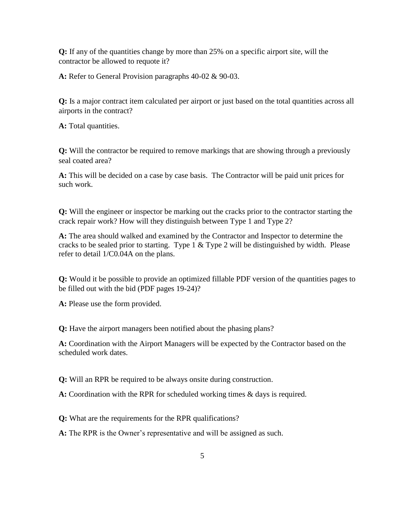**Q:** If any of the quantities change by more than 25% on a specific airport site, will the contractor be allowed to requote it?

**A:** Refer to General Provision paragraphs 40-02 & 90-03.

**Q:** Is a major contract item calculated per airport or just based on the total quantities across all airports in the contract?

**A:** Total quantities.

**Q:** Will the contractor be required to remove markings that are showing through a previously seal coated area?

**A:** This will be decided on a case by case basis. The Contractor will be paid unit prices for such work.

**Q:** Will the engineer or inspector be marking out the cracks prior to the contractor starting the crack repair work? How will they distinguish between Type 1 and Type 2?

**A:** The area should walked and examined by the Contractor and Inspector to determine the cracks to be sealed prior to starting. Type  $1 \&$  Type  $2$  will be distinguished by width. Please refer to detail 1/C0.04A on the plans.

**Q:** Would it be possible to provide an optimized fillable PDF version of the quantities pages to be filled out with the bid (PDF pages 19-24)?

**A:** Please use the form provided.

**Q:** Have the airport managers been notified about the phasing plans?

**A:** Coordination with the Airport Managers will be expected by the Contractor based on the scheduled work dates.

**Q:** Will an RPR be required to be always onsite during construction.

**A:** Coordination with the RPR for scheduled working times & days is required.

**Q:** What are the requirements for the RPR qualifications?

**A:** The RPR is the Owner's representative and will be assigned as such.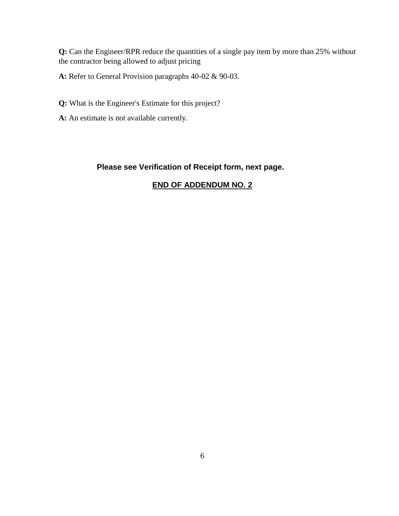**Q:** Can the Engineer/RPR reduce the quantities of a single pay item by more than 25% without the contractor being allowed to adjust pricing

**A:** Refer to General Provision paragraphs 40-02 & 90-03.

**Q:** What is the Engineer's Estimate for this project?

**A:** An estimate is not available currently.

## **Please see Verification of Receipt form, next page.**

# **END OF ADDENDUM NO. 2**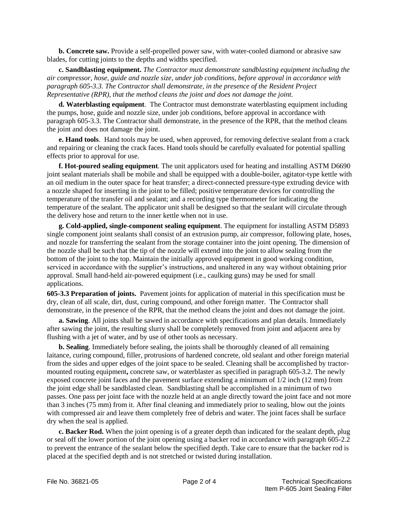**b. Concrete saw.** Provide a self-propelled power saw, with water-cooled diamond or abrasive saw blades, for cutting joints to the depths and widths specified.

**c. Sandblasting equipment.** *The Contractor must demonstrate sandblasting equipment including the air compressor, hose, guide and nozzle size, under job conditions, before approval in accordance with paragraph 605-3.3. The Contractor shall demonstrate, in the presence of the Resident Project Representative (RPR), that the method cleans the joint and does not damage the joint.*

**d. Waterblasting equipment**. The Contractor must demonstrate waterblasting equipment including the pumps, hose, guide and nozzle size, under job conditions, before approval in accordance with paragraph 605-3.3. The Contractor shall demonstrate, in the presence of the RPR, that the method cleans the joint and does not damage the joint.

**e. Hand tools**. Hand tools may be used, when approved, for removing defective sealant from a crack and repairing or cleaning the crack faces. Hand tools should be carefully evaluated for potential spalling effects prior to approval for use.

**f. Hot-poured sealing equipment**. The unit applicators used for heating and installing ASTM D6690 joint sealant materials shall be mobile and shall be equipped with a double-boiler, agitator-type kettle with an oil medium in the outer space for heat transfer; a direct-connected pressure-type extruding device with a nozzle shaped for inserting in the joint to be filled; positive temperature devices for controlling the temperature of the transfer oil and sealant; and a recording type thermometer for indicating the temperature of the sealant. The applicator unit shall be designed so that the sealant will circulate through the delivery hose and return to the inner kettle when not in use.

**g. Cold-applied, single-component sealing equipment**. The equipment for installing ASTM D5893 single component joint sealants shall consist of an extrusion pump, air compressor, following plate, hoses, and nozzle for transferring the sealant from the storage container into the joint opening. The dimension of the nozzle shall be such that the tip of the nozzle will extend into the joint to allow sealing from the bottom of the joint to the top. Maintain the initially approved equipment in good working condition, serviced in accordance with the supplier's instructions, and unaltered in any way without obtaining prior approval. Small hand-held air-powered equipment (i.e., caulking guns) may be used for small applications.

**605-3.3 Preparation of joints.** Pavement joints for application of material in this specification must be dry, clean of all scale, dirt, dust, curing compound, and other foreign matter. The Contractor shall demonstrate, in the presence of the RPR, that the method cleans the joint and does not damage the joint.

**a. Sawing**. All joints shall be sawed in accordance with specifications and plan details. Immediately after sawing the joint, the resulting slurry shall be completely removed from joint and adjacent area by flushing with a jet of water, and by use of other tools as necessary.

**b. Sealing**. Immediately before sealing, the joints shall be thoroughly cleaned of all remaining laitance, curing compound, filler, protrusions of hardened concrete, old sealant and other foreign material from the sides and upper edges of the joint space to be sealed. Cleaning shall be accomplished by tractormounted routing equipment**,** concrete saw, or waterblaster as specified in paragraph 605-3.2. The newly exposed concrete joint faces and the pavement surface extending a minimum of 1/2 inch (12 mm) from the joint edge shall be sandblasted clean. Sandblasting shall be accomplished in a minimum of two passes. One pass per joint face with the nozzle held at an angle directly toward the joint face and not more than 3 inches (75 mm) from it. After final cleaning and immediately prior to sealing, blow out the joints with compressed air and leave them completely free of debris and water. The joint faces shall be surface dry when the seal is applied.

**c. Backer Rod.** When the joint opening is of a greater depth than indicated for the sealant depth, plug or seal off the lower portion of the joint opening using a backer rod in accordance with paragraph 605-2.2 to prevent the entrance of the sealant below the specified depth. Take care to ensure that the backer rod is placed at the specified depth and is not stretched or twisted during installation.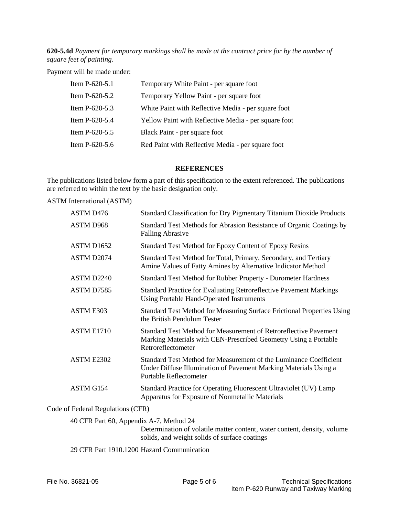**620-5.4d** *Payment for temporary markings shall be made at the contract price for by the number of square feet of painting.*

Payment will be made under:

| Item P-620-5.1 | Temporary White Paint - per square foot              |
|----------------|------------------------------------------------------|
| Item P-620-5.2 | Temporary Yellow Paint - per square foot             |
| Item P-620-5.3 | White Paint with Reflective Media - per square foot  |
| Item P-620-5.4 | Yellow Paint with Reflective Media - per square foot |
| Item P-620-5.5 | Black Paint - per square foot                        |
| Item P-620-5.6 | Red Paint with Reflective Media - per square foot    |

#### **REFERENCES**

The publications listed below form a part of this specification to the extent referenced. The publications are referred to within the text by the basic designation only.

ASTM International (ASTM)

| ASTM D476              | Standard Classification for Dry Pigmentary Titanium Dioxide Products                                                                                            |
|------------------------|-----------------------------------------------------------------------------------------------------------------------------------------------------------------|
| ASTM D968              | Standard Test Methods for Abrasion Resistance of Organic Coatings by<br><b>Falling Abrasive</b>                                                                 |
| ASTM D <sub>1652</sub> | Standard Test Method for Epoxy Content of Epoxy Resins                                                                                                          |
| ASTM D2074             | Standard Test Method for Total, Primary, Secondary, and Tertiary<br>Amine Values of Fatty Amines by Alternative Indicator Method                                |
| ASTM D2240             | Standard Test Method for Rubber Property - Durometer Hardness                                                                                                   |
| ASTM D7585             | <b>Standard Practice for Evaluating Retroreflective Pavement Markings</b><br><b>Using Portable Hand-Operated Instruments</b>                                    |
| ASTM E303              | Standard Test Method for Measuring Surface Frictional Properties Using<br>the British Pendulum Tester                                                           |
| ASTM E1710             | Standard Test Method for Measurement of Retroreflective Pavement<br>Marking Materials with CEN-Prescribed Geometry Using a Portable<br>Retroreflectometer       |
| ASTM E2302             | Standard Test Method for Measurement of the Luminance Coefficient<br>Under Diffuse Illumination of Pavement Marking Materials Using a<br>Portable Reflectometer |
| ASTM G154              | Standard Practice for Operating Fluorescent Ultraviolet (UV) Lamp<br>Apparatus for Exposure of Nonmetallic Materials                                            |
|                        |                                                                                                                                                                 |

#### Code of Federal Regulations (CFR)

40 CFR Part 60, Appendix A-7, Method 24

Determination of volatile matter content, water content, density, volume solids, and weight solids of surface coatings

29 CFR Part 1910.1200 Hazard Communication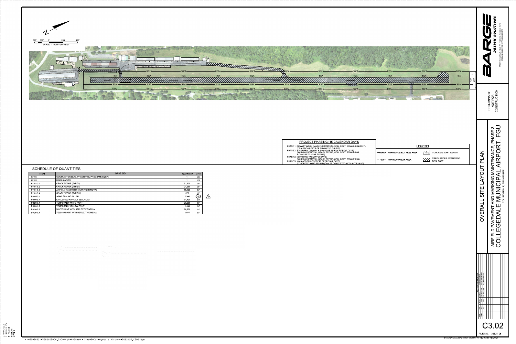

# SCHEDULE OF QUANTITIES

| -ROFA-<br>-ROFA-<br><b>ROFA</b><br><b>RSA</b><br><b>RSA</b><br><b>RSA</b><br><b>RSA</b>                                                                                                                                                                                                                                                                                                                                                                                                                 | -ROFA-<br>-ROFA-<br>-ROFA-<br><b>RSA</b><br><b>RSA</b><br><b>RSA</b><br>$\left \frac{5}{2}\right \frac{5}{25}\right $<br><b>RSA</b><br>RSA -<br><b>RSA</b>                                                                     | 37210<br>6572<br>O<br>615)<br>$\widehat{5}$<br>ିତ<br>615 3rd                                                                                                                                                                                                                                                                                                        |
|---------------------------------------------------------------------------------------------------------------------------------------------------------------------------------------------------------------------------------------------------------------------------------------------------------------------------------------------------------------------------------------------------------------------------------------------------------------------------------------------------------|--------------------------------------------------------------------------------------------------------------------------------------------------------------------------------------------------------------------------------|---------------------------------------------------------------------------------------------------------------------------------------------------------------------------------------------------------------------------------------------------------------------------------------------------------------------------------------------------------------------|
| -ROFA-<br><b>ROFA-</b><br><b>ROFA</b><br><b>THE STATE OF STATE OF A STATE</b>                                                                                                                                                                                                                                                                                                                                                                                                                           | -ROFA-<br>-ROFA-<br>$-ROFA-$                                                                                                                                                                                                   | NOL.<br>$\widetilde{\cong}$<br>NOT FOR<br>CONSTRUCTI<br>PRELIMINA                                                                                                                                                                                                                                                                                                   |
| PROJECT PHASING: 15 CALENDAR DAYS<br>PHASE 1: RUNWAY WORK (MARKING REMOVAL, SEAL COAT, REMARKING ONLY)<br>(7 CALENDAR DAYS OF RUNWAY CLOSURE)<br>PHASE 2: SOUTHERN TAXIWAY & T-HANGAR APRON WORK (3 DAYS)<br>MARKING REMOVAL, CRACK REPAIR, SEAL COAT, REMARKING, & CONCRETE JOINT REPAIR)<br>PHASE 3: NORTHERN TAXIWAY (3 DAYS)<br>(MARKING REMOVAL, CRACK REPAIR, SEAL COAT, REMARKING)<br>PHASE X: MAIN APRON CONCRETE SECTION (2 DAYS)<br>(CONCRETE JOINT REPAIR) (CAN BE COMPLETED WITH ANY PHASE) | <b>LEGEND</b><br>$\left\vert \left\langle \cdot ,\cdot \right\rangle \right\vert$<br>CONCRETE JOINT REPAIR<br>-ROFA- RUNWAY OBJECT FREE AREA<br><b>CRACK REPAIR, REMARKING,</b><br>W<br>- RSA- RUNWAY SAFETY AREA<br>SEAL COAT | $\infty$<br>$\bigcirc$<br>$\overline{\mathbf{S}}$<br>$\Box$<br><b>PHA</b><br>-<br>$\alpha$<br>MAINTENANCE<br>$\bigcirc$<br><b>Z</b><br><b>AIRP</b><br>$\sim$<br>$\Omega$<br>ENNESSEE<br>$\vec{O}$<br>◁<br>$\overline{\blacktriangle}$<br>ONIY<br>$\Omega$<br>$\vdash$<br>AIRFIELD PAVEMENT AND MARM<br>COLLEGEDALE MUNIC<br><b>COLLEGEDALE</b> ,<br>SITE<br>OVERALL |
|                                                                                                                                                                                                                                                                                                                                                                                                                                                                                                         | © Copyright 2022, Barge Design Solutions, Inc. ALL RIGHTS RESERVED                                                                                                                                                             | $ \Xi $<br>$\vert z \vert$<br>REVISION INFORMATION<br>E RESCRIPTION<br>1-2022 ADDENDUM No.<br>0-2022 ADDENDUM No.<br>$\frac{\overline{\mathsf{DATE}}}{\frac{02.11 \cdot 2022}{03.10 \cdot 2022}}$<br>图制<br>2<br>$\frac{ \mathbb{E} }{ \mathbb{E} } =$<br>C3.02<br>FILE NO. 36821-05                                                                                 |

| <b>ITEM</b> | <b>BASE BID</b>                           | <b>QUANTITY</b> | <b>UNIT</b> |
|-------------|-------------------------------------------|-----------------|-------------|
| $C-100$     | CONTRACTOR QUALITY CONTROL PROGRAM (CQCP) |                 | <b>LS</b>   |
| $C-105$     | <b>MOBILIZATION</b>                       |                 | LS          |
| P-101-5.1   | <b>CRACK REPAIR (TYPE I)</b>              | 21,800          | LF.         |
| $P-101-5.2$ | <b>CRACK REPAIR (TYPE II)</b>             | 21,250          | LF          |
| $P-101-53$  | AIRFIELD PAVEMENT MARKING REMOVAL         | 58,200          | <b>SF</b>   |
| P-101-54    | <b>CRACK REPAIR (TYPE III)</b>            | 375             | $E_{\rm F}$ |
| P-605-51    | <b>JOINT SEALING FILLER</b>               | 2,300           | <b>ED</b>   |
| P-608-8.1   | EMULSIFIED ASPHALT SEAL COAT              | 51,420          | <b>SY</b>   |
| P-620-5.1   | TEMPORARY WHITE PAINT                     | 26,630          | <b>SF</b>   |
| $P-620-5.2$ | TEMPORARY YELLOW PAINT                    | 1,455           | <b>SF</b>   |
| $P-620-53$  | WHITE PAINT WITH REFLECTIVE MEDIA         | 26,630          | <b>SF</b>   |
| P-620-5.4   | YELLOW PAINT WITH REFLECTIVE MEDIA        | 1,455           | <b>SF</b>   |

aanaan an an an ay s  $\begin{minipage}{0.9\linewidth} \begin{tabular}{l} \hline \textbf{1} & \textbf{2} & \textbf{3} & \textbf{4} & \textbf{5} & \textbf{5} & \textbf{6} & \textbf{6} & \textbf{7} & \textbf{8} & \textbf{9} & \textbf{10} & \textbf{10} & \textbf{10} & \textbf{10} & \textbf{10} & \textbf{10} & \textbf{10} & \textbf{10} & \textbf{10} & \textbf{10} & \textbf{10} & \textbf{10} & \textbf{10} & \textbf{10} & \textbf{10}$ 

 $\begin{minipage}{0.9\linewidth} \begin{tabular}{l} \hline \multicolumn{3}{c}{\textbf{1.1}} & \multicolumn{2}{c}{\textbf{1.1}} & \multicolumn{2}{c}{\textbf{1.1}} & \multicolumn{2}{c}{\textbf{1.1}} & \multicolumn{2}{c}{\textbf{1.1}} & \multicolumn{2}{c}{\textbf{1.1}} & \multicolumn{2}{c}{\textbf{1.1}} & \multicolumn{2}{c}{\textbf{1.1}} & \multicolumn{2}{c}{\textbf{1.1}} & \multicolumn{2}{c}{\textbf{1.1}} & \multicolumn{2}{c}{\textbf{1.1$ 

 $\frac{1}{2} \left( \frac{1}{2} \left( \frac{1}{2} \frac{1}{2} \frac{1}{2} \frac{1}{2} \frac{1}{2} \frac{1}{2} \frac{1}{2} \frac{1}{2} \frac{1}{2} \frac{1}{2} \frac{1}{2} \frac{1}{2} \frac{1}{2} \frac{1}{2} \frac{1}{2} \frac{1}{2} \frac{1}{2} \frac{1}{2} \frac{1}{2} \frac{1}{2} \frac{1}{2} \frac{1}{2} \frac{1}{2} \frac{1}{2} \frac{1}{2} \frac{1}{2} \frac{1}{2} \frac{1}{2} \frac{1$